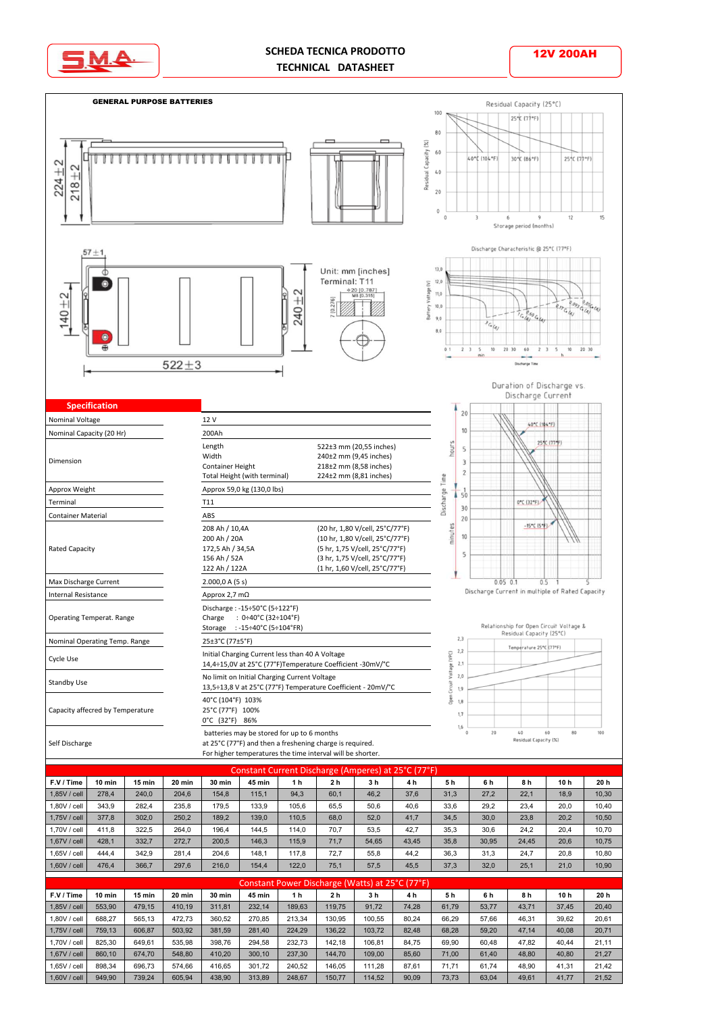

## **SCHEDA TECNICA PRODOTTO TECHNICAL DATASHEET**

12V 200AH

 GENERAL PURPOSE BATTERIES Residual Capacity (25°C) 100 25°C (77°F)  $\overline{8}$ Residual Capacity (%)  $60$ **TTTTTTTTTTTT**  $\top$ ⊤  $110k$  er 30°C (86°F) 25°C (7  $224 + 2$ T Ш  $+2$  $40$  $218 \overline{20}$  $\circ$  $12$ 3 6 9 Storage pe rind (monthe) Discharge Characteristic @ 25°C (77°F)  $57 + 1$ Unit: mm [inches]  $13.0$ क Terminal: T11  $\bullet$  $12.0$ Voltage (V)  $620 [0.787]$ <br>M8 [0.315] 240±2  $11,0$  $140 + 2$  $7 [0.276]$  $100$  $0.095$ Battery  $9,0$  $\overline{G}_{\overline{G}}$  $8,0$  $\epsilon$  $20, 30$ 60  $\overline{\phantom{a}}$  $\overline{10}$  $20, 30$  $522 + 3$ Duration of Discharge vs. Discharge Current  **Specification**  $20$ Nominal Voltage 12 V 40°C (104°F)  $10$ Nominal Capacity (20 Hr) 200Ah Length<br>Width 522±3 mm (20,55 inches) hours  $\overline{\mathbf{5}}$  $240±2$  mm (9,45 inches) Dimension 3 Container Height 218±2 mm (8,58 inches)  $\overline{c}$ Total Height (with terminal) 224±2 mm (8,81 inches) Discharge Time Approx Weight Approx 59,0 kg (130,0 lbs)  $50 - 50$ Terminal T11 0°C (32°F).  $30$ Container Material **ABS**  $20$ 208 Ah / 10,4A  $-15^{\circ}$ C (5\* minutes (20 hr, 1,80 V/cell, 25°C/77°F) 10 200 Ah / 20A<br>172,5 Ah / 34,5A (10 hr, 1,80 V/cell, 25°C/77°F) Rated Capacity 172,5 Ah / 34,5A (5 hr, 1,75 V/cell, 25°C/77°F) (3 hr, 1,75 V/cell, 25°C/77°F)5 156 Ah / 52A 122 Ah / 122A (1 hr, 1,60 V/cell, 25°C/77°F) ۱ 2.000,0 A (5 s) Max Discharge Current  $0.05$  0.1  $0.5$ Discharge Current in multiple of Rated Capacity Internal Resistance Approx 2,7 mΩ Discharge : -15÷50°C (5÷122°F) Operating Temperat. Range Charge : 0÷40°C (32÷104°F) Relationship for Open Circuit Voltage &<br>Residual Capacity (25°C) Storage : -15÷40°C (5÷104°FR)  $2,3$  Nominal Operating Temp. Range 25±3°C (77±5°F) Temperature 25°C (77°F)  $2,2$  Cycle Use Initial Charging Current less than 40 A Voltage VPC)  $2,1$ 14,4÷15,0V at 25°C (77°F)Temperature Coefficient -30mV/°C /oltage  $2,0$ Standby Use No limit on Initial Charging Current Voltage **Incuit** 13,5÷13,8 V at 25°C (77°F) Temperature Coefficient - 20mV/°C  $1,9$ 40°C (104°F) 103% Open  $1,8$  Capacity affecred by Temperature 25°C (77°F) 100%  $1.7$ 0°C (32°F) 86%  $1,6$  batteries may be stored for up to 6 months  $\frac{1}{20}$  $\frac{1}{40}$ Residual Capacity (%) Self Discharge at 25°C (77°F) and then a freshening charge is required. For higher temperatures the time interval will be shorter.

| Constant Current Discharge (Amperes) at 25°C (77°F) |        |          |        |               |        |                |                |                |       |      |       |       |                 |       |
|-----------------------------------------------------|--------|----------|--------|---------------|--------|----------------|----------------|----------------|-------|------|-------|-------|-----------------|-------|
| F.V / Time                                          | 10 min | $15$ min | 20 min | <b>30 min</b> | 45 min | 1 <sub>h</sub> | 2 <sub>h</sub> | 3 <sub>h</sub> | 4 h   | 5h   | 6 h   | 8 h   | 10 <sub>h</sub> | 20 h  |
| 1.85V / cell                                        | 278.4  | 240.0    | 204.6  | 154.8         | 115.1  | 94.3           | 60,1           | 46.2           | 37,6  | 31.3 | 27,2  | 22,1  | 18,9            | 10,30 |
| 1.80V / cell                                        | 343.9  | 282.4    | 235.8  | 179.5         | 133.9  | 105.6          | 65.5           | 50,6           | 40,6  | 33,6 | 29,2  | 23,4  | 20,0            | 10,40 |
| 1.75V / cell                                        | 377.8  | 302,0    | 250,2  | 189.2         | 139.0  | 110.5          | 68,0           | 52,0           | 41,7  | 34,5 | 30,0  | 23,8  | 20,2            | 10,50 |
| 1.70V / cell                                        | 411.8  | 322.5    | 264.0  | 196.4         | 144.5  | 114.0          | 70.7           | 53,5           | 42,7  | 35,3 | 30,6  | 24,2  | 20,4            | 10,70 |
| 1.67V / cell                                        | 428.1  | 332.7    | 272.7  | 200.5         | 146.3  | 115.9          | 71.7           | 54,65          | 43,45 | 35,8 | 30,95 | 24.45 | 20,6            | 10,75 |
| 1.65V / cell                                        | 444.4  | 342.9    | 281.4  | 204.6         | 148,1  | 117.8          | 72.7           | 55,8           | 44,2  | 36,3 | 31,3  | 24,7  | 20,8            | 10,80 |
| 1.60V / cell                                        | 476.4  | 366,7    | 297,6  | 216.0         | 154,4  | 122,0          | 75,1           | 57,5           | 45,5  | 37,3 | 32,0  | 25,1  | 21,0            | 10,90 |

| Constant Power Discharge (Watts) at 25°C (77°F) |        |        |        |               |        |        |                |                |                |       |       |       |                 |       |
|-------------------------------------------------|--------|--------|--------|---------------|--------|--------|----------------|----------------|----------------|-------|-------|-------|-----------------|-------|
| F.V / Time                                      | 10 min | 15 min | 20 min | <b>30 min</b> | 45 min | 1 h    | 2 <sub>h</sub> | 3 <sub>h</sub> | 4 <sub>h</sub> | 5h    | 6 h   | 8 h   | 10 <sub>h</sub> | 20 h  |
| 1,85V / cell                                    | 553.90 | 479.15 | 410.19 | 311.81        | 232.14 | 189.63 | 119.75         | 91,72          | 74,28          | 61,79 | 53,77 | 43,71 | 37,45           | 20,40 |
| 1.80V / cell                                    | 688.27 | 565.13 | 472.73 | 360.52        | 270.85 | 213.34 | 130.95         | 100.55         | 80,24          | 66,29 | 57,66 | 46.31 | 39,62           | 20,61 |
| 1.75V / cell                                    | 759.13 | 606.87 | 503.92 | 381.59        | 281.40 | 224.29 | 136.22         | 103.72         | 82,48          | 68,28 | 59,20 | 47.14 | 40,08           | 20,71 |
| 1.70V / cell                                    | 825.30 | 649.61 | 535.98 | 398.76        | 294.58 | 232.73 | 142.18         | 106.81         | 84,75          | 69,90 | 60,48 | 47.82 | 40.44           | 21,11 |
| 1.67V / cell                                    | 860.10 | 674.70 | 548.80 | 410.20        | 300.10 | 237.30 | 144.70         | 109,00         | 85,60          | 71.00 | 61,40 | 48,80 | 40,80           | 21,27 |
| 1.65V / cell                                    | 898.34 | 696.73 | 574.66 | 416.65        | 301.72 | 240.52 | 146.05         | 111.28         | 87,61          | 71.71 | 61.74 | 48.90 | 41,31           | 21,42 |
| 1,60V / cell                                    | 949.90 | 739,24 | 605.94 | 438,90        | 313.89 | 248,67 | 150,77         | 114,52         | 90,09          | 73,73 | 63,04 | 49,61 | 41,77           | 21,52 |